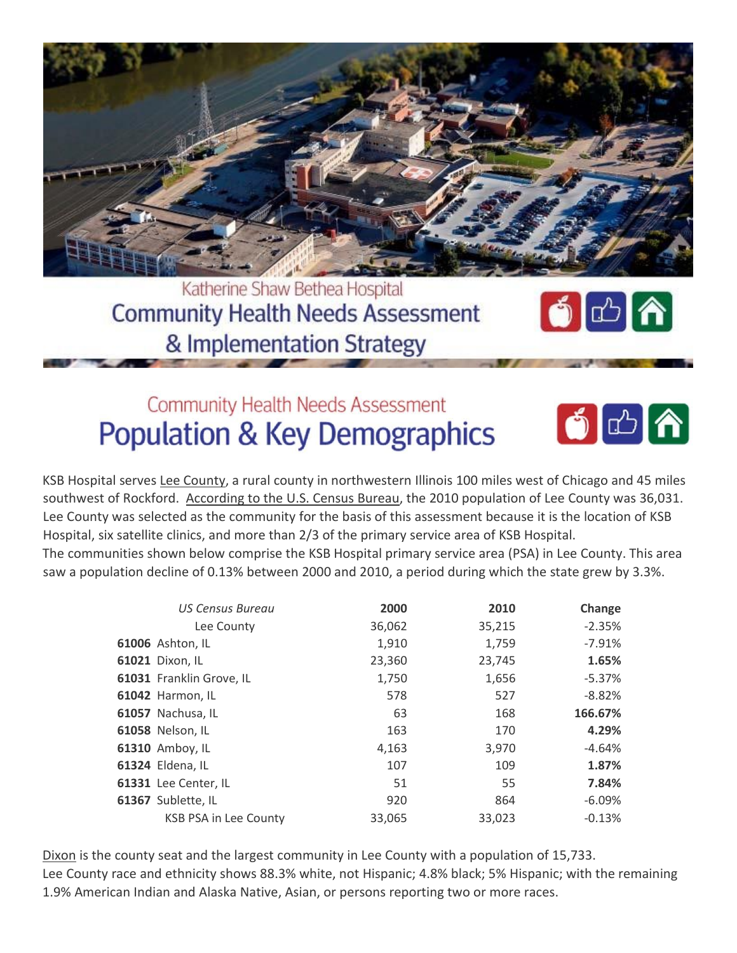

Katherine Shaw Bethea Hospital **Community Health Needs Assessment** & Implementation Strategy



# **Community Health Needs Assessment Population & Key Demographics**



KSB Hospital serves Lee County, a rural county in northwestern Illinois 100 miles west of Chicago and 45 miles southwest of Rockford. According to the U.S. Census Bureau, the 2010 population of Lee County was 36,031. Lee County was selected as the community for the basis of this assessment because it is the location of KSB Hospital, six satellite clinics, and more than 2/3 of the primary service area of KSB Hospital.

The communities shown below comprise the KSB Hospital primary service area (PSA) in Lee County. This area saw a population decline of 0.13% between 2000 and 2010, a period during which the state grew by 3.3%.

| <b>US Census Bureau</b>      | 2000   | 2010   | Change   |
|------------------------------|--------|--------|----------|
| Lee County                   | 36,062 | 35,215 | $-2.35%$ |
| <b>61006</b> Ashton, IL      | 1,910  | 1,759  | $-7.91%$ |
| 61021 Dixon, IL              | 23,360 | 23,745 | 1.65%    |
| 61031 Franklin Grove, IL     | 1,750  | 1,656  | $-5.37%$ |
| 61042 Harmon, IL             | 578    | 527    | $-8.82%$ |
| 61057 Nachusa, IL            | 63     | 168    | 166.67%  |
| 61058 Nelson, IL             | 163    | 170    | 4.29%    |
| 61310 Amboy, IL              | 4,163  | 3,970  | -4.64%   |
| 61324 Eldena, IL             | 107    | 109    | 1.87%    |
| 61331 Lee Center, IL         | 51     | 55     | 7.84%    |
| 61367 Sublette, IL           | 920    | 864    | $-6.09%$ |
| <b>KSB PSA in Lee County</b> | 33,065 | 33,023 | $-0.13%$ |

Dixon is the county seat and the largest community in Lee County with a population of 15,733. Lee County race and ethnicity shows 88.3% white, not Hispanic; 4.8% black; 5% Hispanic; with the remaining 1.9% American Indian and Alaska Native, Asian, or persons reporting two or more races.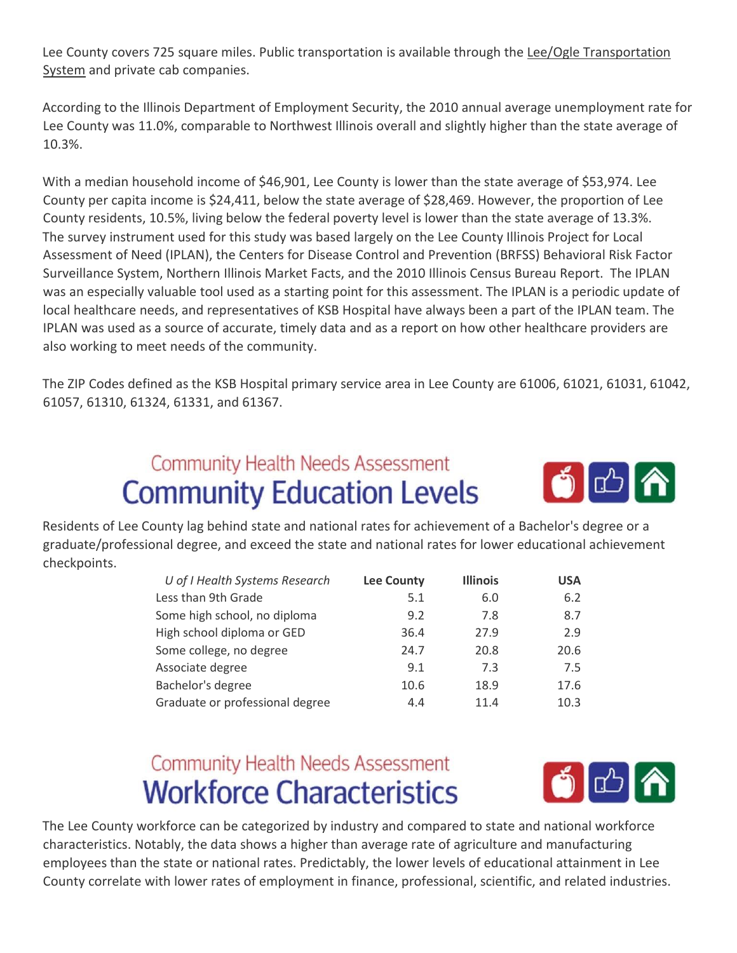Lee County covers 725 square miles. Public transportation is available through the Lee/Ogle Transportation System and private cab companies.

According to the Illinois Department of Employment Security, the 2010 annual average unemployment rate for Lee County was 11.0%, comparable to Northwest Illinois overall and slightly higher than the state average of 10.3%.

With a median household income of \$46,901, Lee County is lower than the state average of \$53,974. Lee County per capita income is \$24,411, below the state average of \$28,469. However, the proportion of Lee County residents, 10.5%, living below the federal poverty level is lower than the state average of 13.3%. The survey instrument used for this study was based largely on the Lee County Illinois Project for Local Assessment of Need (IPLAN), the Centers for Disease Control and Prevention (BRFSS) Behavioral Risk Factor Surveillance System, Northern Illinois Market Facts, and the 2010 Illinois Census Bureau Report. The IPLAN was an especially valuable tool used as a starting point for this assessment. The IPLAN is a periodic update of local healthcare needs, and representatives of KSB Hospital have always been a part of the IPLAN team. The IPLAN was used as a source of accurate, timely data and as a report on how other healthcare providers are also working to meet needs of the community.

The ZIP Codes defined as the KSB Hospital primary service area in Lee County are 61006, 61021, 61031, 61042, 61057, 61310, 61324, 61331, and 61367.

# **Community Health Needs Assessment Community Education Levels**



Residents of Lee County lag behind state and national rates for achievement of a Bachelor's degree or a graduate/professional degree, and exceed the state and national rates for lower educational achievement checkpoints.

| U of I Health Systems Research  | <b>Lee County</b> | <b>Illinois</b> | <b>USA</b> |
|---------------------------------|-------------------|-----------------|------------|
| Less than 9th Grade             | 5.1               | 6.0             | 6.2        |
| Some high school, no diploma    | 9.2               | 7.8             | 8.7        |
| High school diploma or GED      | 36.4              | 27.9            | 2.9        |
| Some college, no degree         | 24.7              | 20.8            | 20.6       |
| Associate degree                | 9.1               | 7.3             | 7.5        |
| Bachelor's degree               | 10.6              | 18.9            | 17.6       |
| Graduate or professional degree | 4.4               | 11.4            | 10.3       |

# **Community Health Needs Assessment Workforce Characteristics**



The Lee County workforce can be categorized by industry and compared to state and national workforce characteristics. Notably, the data shows a higher than average rate of agriculture and manufacturing employees than the state or national rates. Predictably, the lower levels of educational attainment in Lee County correlate with lower rates of employment in finance, professional, scientific, and related industries.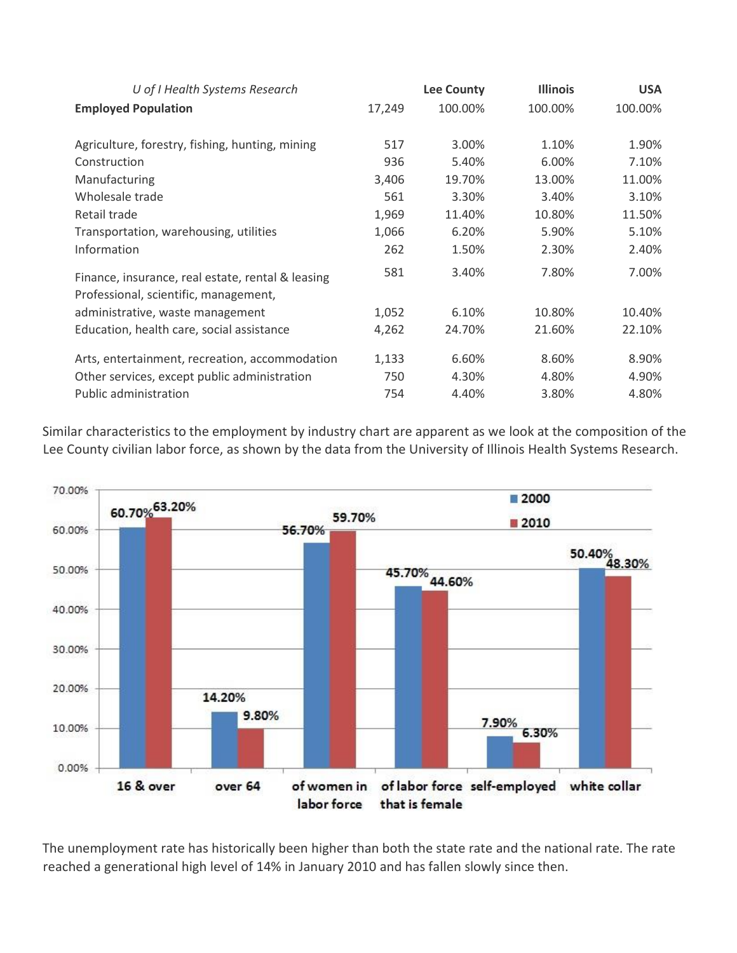| U of I Health Systems Research                                                             | <b>Lee County</b> |         | <b>Illinois</b> | <b>USA</b> |
|--------------------------------------------------------------------------------------------|-------------------|---------|-----------------|------------|
| <b>Employed Population</b>                                                                 | 17,249            | 100.00% | 100.00%         | 100.00%    |
| Agriculture, forestry, fishing, hunting, mining                                            | 517               | 3.00%   | 1.10%           | 1.90%      |
| Construction                                                                               | 936               | 5.40%   | 6.00%           | 7.10%      |
| Manufacturing                                                                              | 3,406             | 19.70%  | 13.00%          | 11.00%     |
| Wholesale trade                                                                            | 561               | 3.30%   | 3.40%           | 3.10%      |
| Retail trade                                                                               | 1,969             | 11.40%  | 10.80%          | 11.50%     |
| Transportation, warehousing, utilities                                                     | 1,066             | 6.20%   | 5.90%           | 5.10%      |
| Information                                                                                | 262               | 1.50%   | 2.30%           | 2.40%      |
| Finance, insurance, real estate, rental & leasing<br>Professional, scientific, management, | 581               | 3.40%   | 7.80%           | 7.00%      |
| administrative, waste management                                                           | 1,052             | 6.10%   | 10.80%          | 10.40%     |
| Education, health care, social assistance                                                  | 4,262             | 24.70%  | 21.60%          | 22.10%     |
| Arts, entertainment, recreation, accommodation                                             | 1,133             | 6.60%   | 8.60%           | 8.90%      |
| Other services, except public administration                                               | 750               | 4.30%   | 4.80%           | 4.90%      |
| Public administration                                                                      | 754               | 4.40%   | 3.80%           | 4.80%      |

Similar characteristics to the employment by industry chart are apparent as we look at the composition of the Lee County civilian labor force, as shown by the data from the University of Illinois Health Systems Research.



The unemployment rate has historically been higher than both the state rate and the national rate. The rate reached a generational high level of 14% in January 2010 and has fallen slowly since then.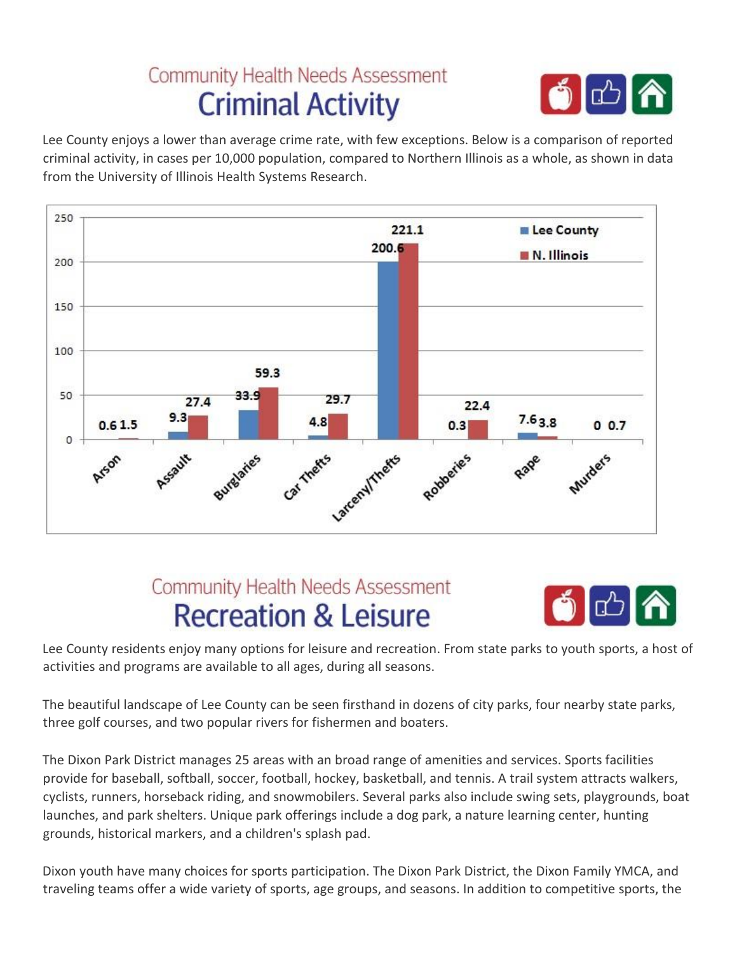# **Community Health Needs Assessment Criminal Activity**



Lee County enjoys a lower than average crime rate, with few exceptions. Below is a comparison of reported criminal activity, in cases per 10,000 population, compared to Northern Illinois as a whole, as shown in data from the University of Illinois Health Systems Research.



### **Community Health Needs Assessment Recreation & Leisure**



Lee County residents enjoy many options for leisure and recreation. From state parks to youth sports, a host of activities and programs are available to all ages, during all seasons.

The beautiful landscape of Lee County can be seen firsthand in dozens of city parks, four nearby state parks, three golf courses, and two popular rivers for fishermen and boaters.

The Dixon Park District manages 25 areas with an broad range of amenities and services. Sports facilities provide for baseball, softball, soccer, football, hockey, basketball, and tennis. A trail system attracts walkers, cyclists, runners, horseback riding, and snowmobilers. Several parks also include swing sets, playgrounds, boat launches, and park shelters. Unique park offerings include a dog park, a nature learning center, hunting grounds, historical markers, and a children's splash pad.

Dixon youth have many choices for sports participation. The Dixon Park District, the Dixon Family YMCA, and traveling teams offer a wide variety of sports, age groups, and seasons. In addition to competitive sports, the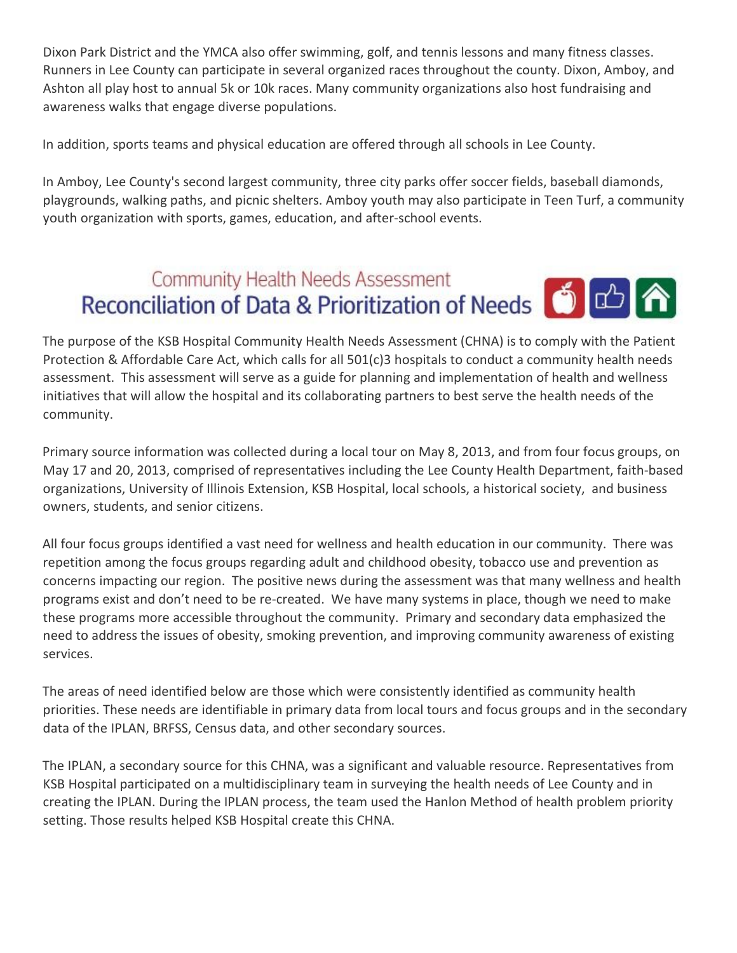Dixon Park District and the YMCA also offer swimming, golf, and tennis lessons and many fitness classes. Runners in Lee County can participate in several organized races throughout the county. Dixon, Amboy, and Ashton all play host to annual 5k or 10k races. Many community organizations also host fundraising and awareness walks that engage diverse populations.

In addition, sports teams and physical education are offered through all schools in Lee County.

In Amboy, Lee County's second largest community, three city parks offer soccer fields, baseball diamonds, playgrounds, walking paths, and picnic shelters. Amboy youth may also participate in Teen Turf, a community youth organization with sports, games, education, and after‐school events.

### **Community Health Needs Assessment** Reconciliation of Data & Prioritization of Needs **6**

The purpose of the KSB Hospital Community Health Needs Assessment (CHNA) is to comply with the Patient Protection & Affordable Care Act, which calls for all 501(c)3 hospitals to conduct a community health needs assessment. This assessment will serve as a guide for planning and implementation of health and wellness initiatives that will allow the hospital and its collaborating partners to best serve the health needs of the community.

Primary source information was collected during a local tour on May 8, 2013, and from four focus groups, on May 17 and 20, 2013, comprised of representatives including the Lee County Health Department, faith‐based organizations, University of Illinois Extension, KSB Hospital, local schools, a historical society, and business owners, students, and senior citizens.

All four focus groups identified a vast need for wellness and health education in our community. There was repetition among the focus groups regarding adult and childhood obesity, tobacco use and prevention as concerns impacting our region. The positive news during the assessment was that many wellness and health programs exist and don't need to be re‐created. We have many systems in place, though we need to make these programs more accessible throughout the community. Primary and secondary data emphasized the need to address the issues of obesity, smoking prevention, and improving community awareness of existing services.

The areas of need identified below are those which were consistently identified as community health priorities. These needs are identifiable in primary data from local tours and focus groups and in the secondary data of the IPLAN, BRFSS, Census data, and other secondary sources.

The IPLAN, a secondary source for this CHNA, was a significant and valuable resource. Representatives from KSB Hospital participated on a multidisciplinary team in surveying the health needs of Lee County and in creating the IPLAN. During the IPLAN process, the team used the Hanlon Method of health problem priority setting. Those results helped KSB Hospital create this CHNA.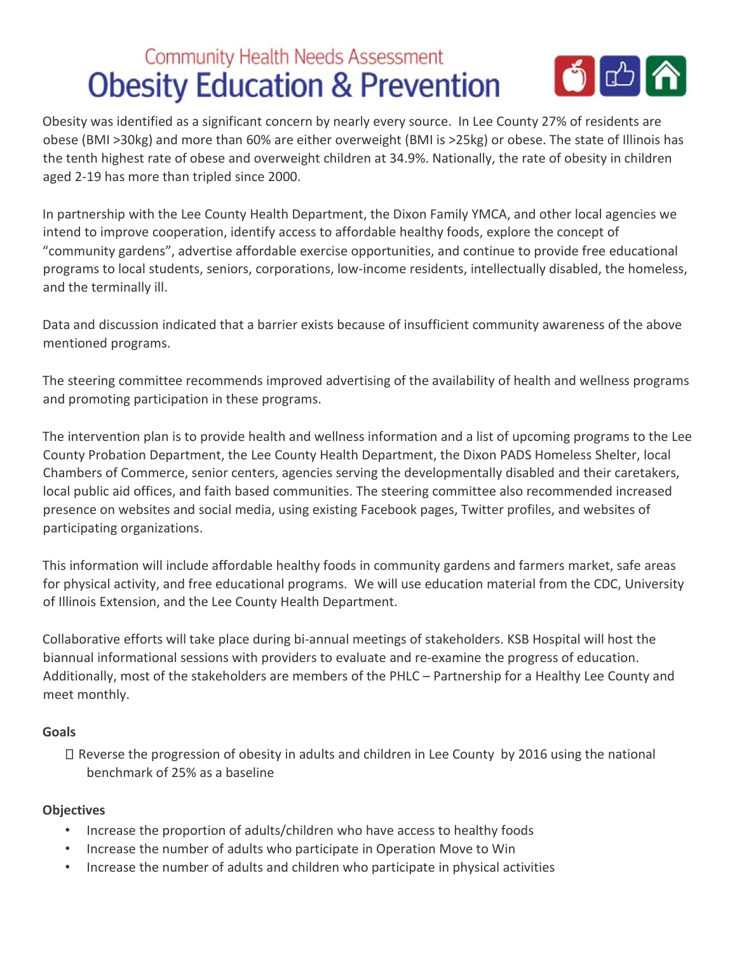### **Community Health Needs Assessment** 6 C A **Obesity Education & Prevention**

Obesity was identified as a significant concern by nearly every source. In Lee County 27% of residents are obese (BMI >30kg) and more than 60% are either overweight (BMI is >25kg) or obese. The state of Illinois has the tenth highest rate of obese and overweight children at 34.9%. Nationally, the rate of obesity in children aged 2‐19 has more than tripled since 2000.

In partnership with the Lee County Health Department, the Dixon Family YMCA, and other local agencies we intend to improve cooperation, identify access to affordable healthy foods, explore the concept of "community gardens", advertise affordable exercise opportunities, and continue to provide free educational programs to local students, seniors, corporations, low‐income residents, intellectually disabled, the homeless, and the terminally ill.

Data and discussion indicated that a barrier exists because of insufficient community awareness of the above mentioned programs.

The steering committee recommends improved advertising of the availability of health and wellness programs and promoting participation in these programs.

The intervention plan is to provide health and wellness information and a list of upcoming programs to the Lee County Probation Department, the Lee County Health Department, the Dixon PADS Homeless Shelter, local Chambers of Commerce, senior centers, agencies serving the developmentally disabled and their caretakers, local public aid offices, and faith based communities. The steering committee also recommended increased presence on websites and social media, using existing Facebook pages, Twitter profiles, and websites of participating organizations.

This information will include affordable healthy foods in community gardens and farmers market, safe areas for physical activity, and free educational programs. We will use education material from the CDC, University of Illinois Extension, and the Lee County Health Department.

Collaborative efforts will take place during bi‐annual meetings of stakeholders. KSB Hospital will host the biannual informational sessions with providers to evaluate and re‐examine the progress of education. Additionally, most of the stakeholders are members of the PHLC – Partnership for a Healthy Lee County and meet monthly.

### **Goals**

Reverse the progression of obesity in adults and children in Lee County by 2016 using the national benchmark of 25% as a baseline

### **Objectives**

- Increase the proportion of adults/children who have access to healthy foods
- Increase the number of adults who participate in Operation Move to Win
- Increase the number of adults and children who participate in physical activities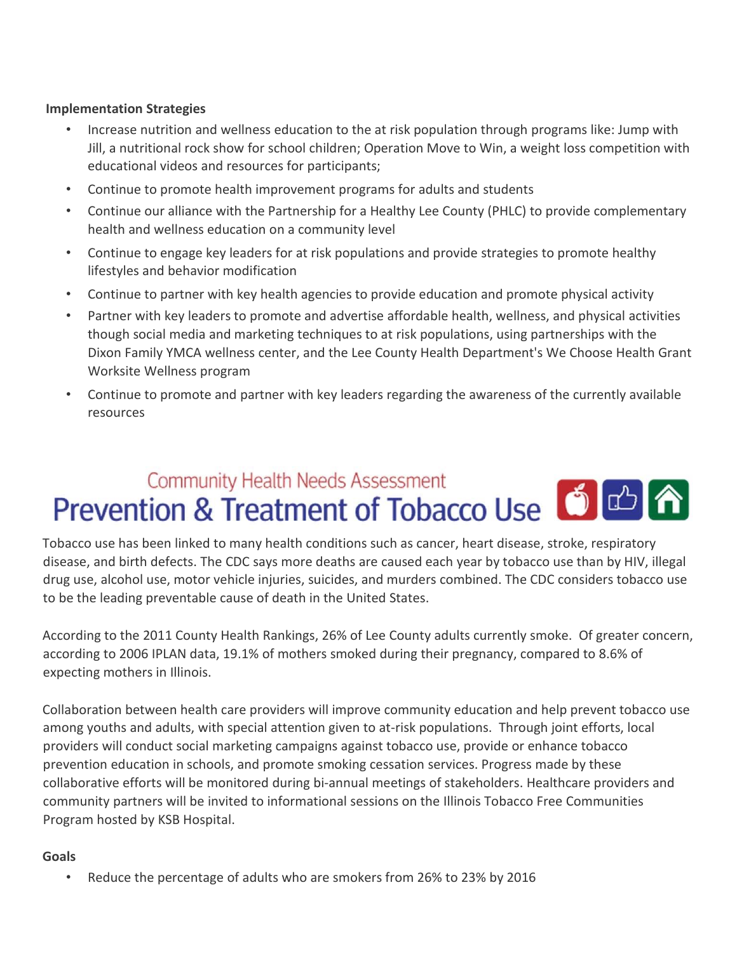#### **Implementation Strategies**

- Increase nutrition and wellness education to the at risk population through programs like: Jump with Jill, a nutritional rock show for school children; Operation Move to Win, a weight loss competition with educational videos and resources for participants;
- Continue to promote health improvement programs for adults and students
- Continue our alliance with the Partnership for a Healthy Lee County (PHLC) to provide complementary health and wellness education on a community level
- Continue to engage key leaders for at risk populations and provide strategies to promote healthy lifestyles and behavior modification
- Continue to partner with key health agencies to provide education and promote physical activity
- Partner with key leaders to promote and advertise affordable health, wellness, and physical activities though social media and marketing techniques to at risk populations, using partnerships with the Dixon Family YMCA wellness center, and the Lee County Health Department's We Choose Health Grant Worksite Wellness program
- Continue to promote and partner with key leaders regarding the awareness of the currently available resources

# **Community Health Needs Assessment** Prevention & Treatment of Tobacco Use 6 **Community Freatment** of Tobacco Use

Tobacco use has been linked to many health conditions such as cancer, heart disease, stroke, respiratory disease, and birth defects. The CDC says more deaths are caused each year by tobacco use than by HIV, illegal drug use, alcohol use, motor vehicle injuries, suicides, and murders combined. The CDC considers tobacco use to be the leading preventable cause of death in the United States.

According to the 2011 County Health Rankings, 26% of Lee County adults currently smoke. Of greater concern, according to 2006 IPLAN data, 19.1% of mothers smoked during their pregnancy, compared to 8.6% of expecting mothers in Illinois.

Collaboration between health care providers will improve community education and help prevent tobacco use among youths and adults, with special attention given to at-risk populations. Through joint efforts, local providers will conduct social marketing campaigns against tobacco use, provide or enhance tobacco prevention education in schools, and promote smoking cessation services. Progress made by these collaborative efforts will be monitored during bi-annual meetings of stakeholders. Healthcare providers and community partners will be invited to informational sessions on the Illinois Tobacco Free Communities Program hosted by KSB Hospital.

#### **Goals**

• Reduce the percentage of adults who are smokers from 26% to 23% by 2016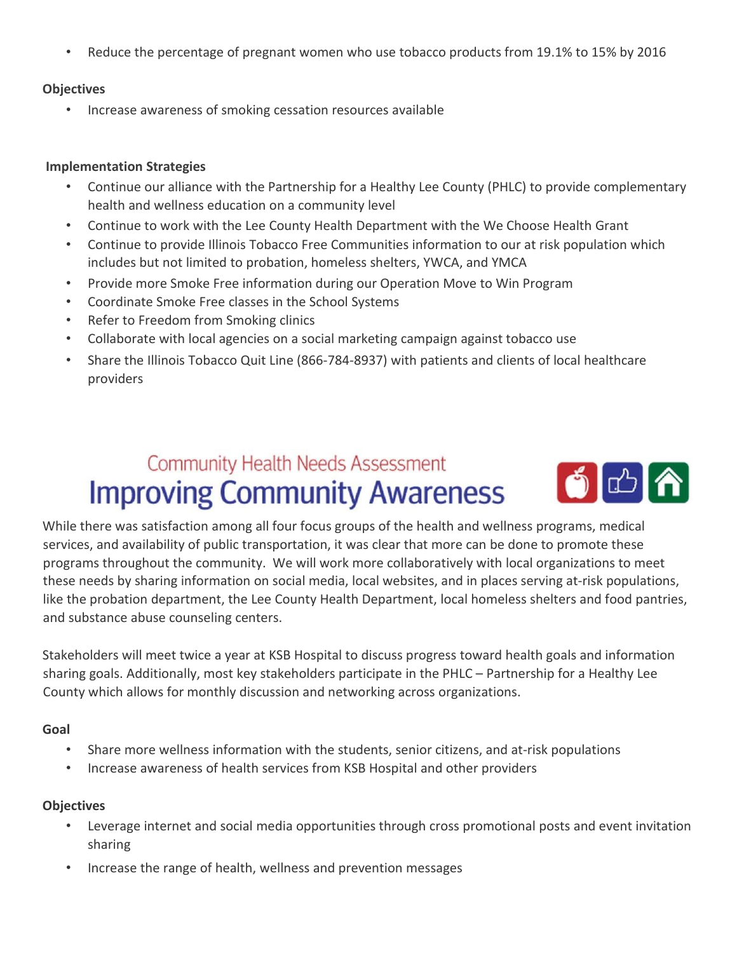• Reduce the percentage of pregnant women who use tobacco products from 19.1% to 15% by 2016

#### **Objectives**

• Increase awareness of smoking cessation resources available

#### **Implementation Strategies**

- Continue our alliance with the Partnership for a Healthy Lee County (PHLC) to provide complementary health and wellness education on a community level
- Continue to work with the Lee County Health Department with the We Choose Health Grant
- Continue to provide Illinois Tobacco Free Communities information to our at risk population which includes but not limited to probation, homeless shelters, YWCA, and YMCA
- Provide more Smoke Free information during our Operation Move to Win Program
- Coordinate Smoke Free classes in the School Systems
- Refer to Freedom from Smoking clinics
- Collaborate with local agencies on a social marketing campaign against tobacco use
- Share the Illinois Tobacco Quit Line (866‐784‐8937) with patients and clients of local healthcare providers

# **Community Health Needs Assessment Improving Community Awareness**



While there was satisfaction among all four focus groups of the health and wellness programs, medical services, and availability of public transportation, it was clear that more can be done to promote these programs throughout the community. We will work more collaboratively with local organizations to meet these needs by sharing information on social media, local websites, and in places serving at‐risk populations, like the probation department, the Lee County Health Department, local homeless shelters and food pantries, and substance abuse counseling centers.

Stakeholders will meet twice a year at KSB Hospital to discuss progress toward health goals and information sharing goals. Additionally, most key stakeholders participate in the PHLC – Partnership for a Healthy Lee County which allows for monthly discussion and networking across organizations.

#### **Goal**

- Share more wellness information with the students, senior citizens, and at-risk populations
- Increase awareness of health services from KSB Hospital and other providers

### **Objectives**

- Leverage internet and social media opportunities through cross promotional posts and event invitation sharing
- Increase the range of health, wellness and prevention messages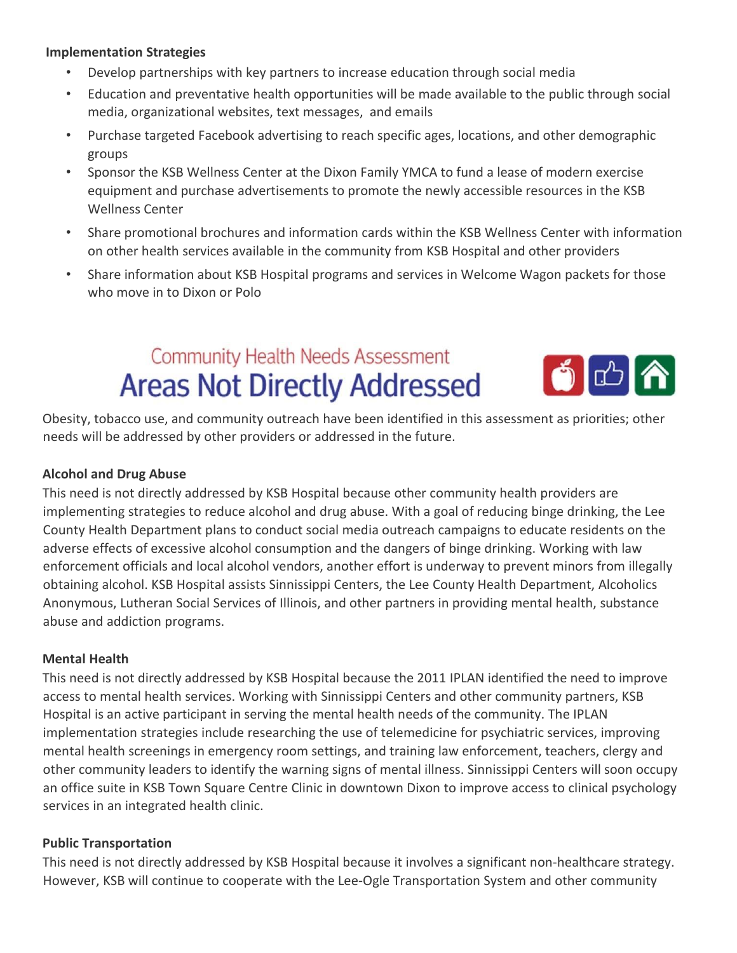#### **Implementation Strategies**

- Develop partnerships with key partners to increase education through social media
- Education and preventative health opportunities will be made available to the public through social media, organizational websites, text messages, and emails
- Purchase targeted Facebook advertising to reach specific ages, locations, and other demographic groups
- Sponsor the KSB Wellness Center at the Dixon Family YMCA to fund a lease of modern exercise equipment and purchase advertisements to promote the newly accessible resources in the KSB Wellness Center
- Share promotional brochures and information cards within the KSB Wellness Center with information on other health services available in the community from KSB Hospital and other providers
- Share information about KSB Hospital programs and services in Welcome Wagon packets for those who move in to Dixon or Polo

# **Community Health Needs Assessment Areas Not Directly Addressed**



Obesity, tobacco use, and community outreach have been identified in this assessment as priorities; other needs will be addressed by other providers or addressed in the future.

### **Alcohol and Drug Abuse**

This need is not directly addressed by KSB Hospital because other community health providers are implementing strategies to reduce alcohol and drug abuse. With a goal of reducing binge drinking, the Lee County Health Department plans to conduct social media outreach campaigns to educate residents on the adverse effects of excessive alcohol consumption and the dangers of binge drinking. Working with law enforcement officials and local alcohol vendors, another effort is underway to prevent minors from illegally obtaining alcohol. KSB Hospital assists Sinnissippi Centers, the Lee County Health Department, Alcoholics Anonymous, Lutheran Social Services of Illinois, and other partners in providing mental health, substance abuse and addiction programs.

#### **Mental Health**

This need is not directly addressed by KSB Hospital because the 2011 IPLAN identified the need to improve access to mental health services. Working with Sinnissippi Centers and other community partners, KSB Hospital is an active participant in serving the mental health needs of the community. The IPLAN implementation strategies include researching the use of telemedicine for psychiatric services, improving mental health screenings in emergency room settings, and training law enforcement, teachers, clergy and other community leaders to identify the warning signs of mental illness. Sinnissippi Centers will soon occupy an office suite in KSB Town Square Centre Clinic in downtown Dixon to improve access to clinical psychology services in an integrated health clinic.

#### **Public Transportation**

This need is not directly addressed by KSB Hospital because it involves a significant non‐healthcare strategy. However, KSB will continue to cooperate with the Lee-Ogle Transportation System and other community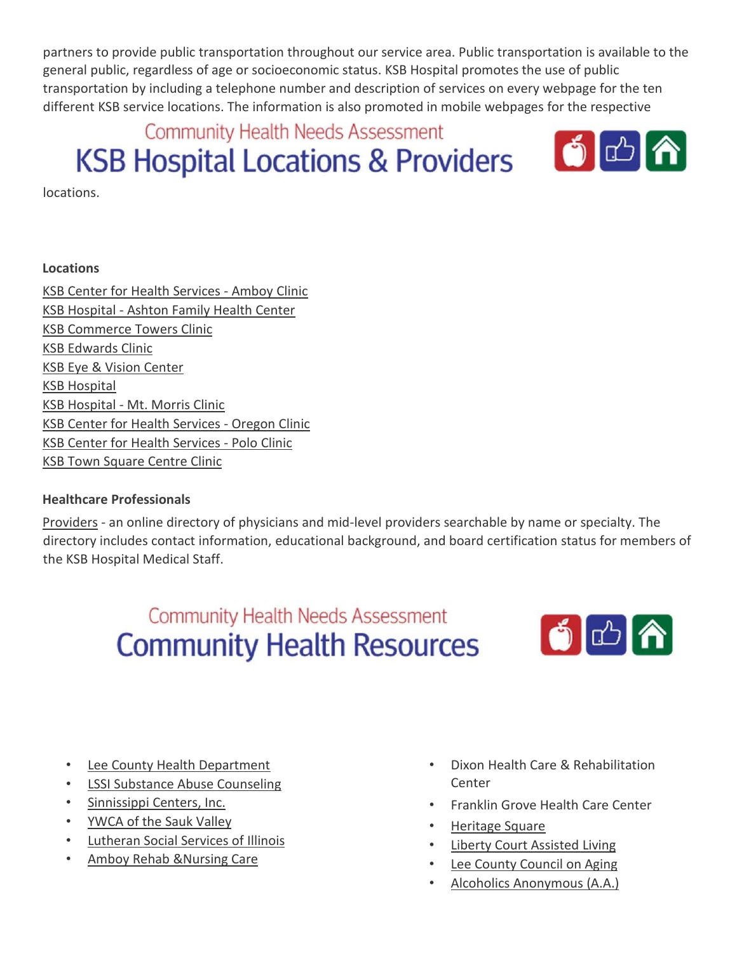partners to provide public transportation throughout our service area. Public transportation is available to the general public, regardless of age or socioeconomic status. KSB Hospital promotes the use of public transportation by including a telephone number and description of services on every webpage for the ten different KSB service locations. The information is also promoted in mobile webpages for the respective

**Community Health Needs Assessment** 

# **KSB Hospital Locations & Providers**



locations.

### **Locations**

KSB Center for Health Services ‐ Amboy Clinic KSB Hospital ‐ Ashton Family Health Center KSB Commerce Towers Clinic KSB Edwards Clinic KSB Eye & Vision Center KSB Hospital KSB Hospital ‐ Mt. Morris Clinic KSB Center for Health Services ‐ Oregon Clinic KSB Center for Health Services ‐ Polo Clinic KSB Town Square Centre Clinic

### **Healthcare Professionals**

Providers - an online directory of physicians and mid-level providers searchable by name or specialty. The directory includes contact information, educational background, and board certification status for members of the KSB Hospital Medical Staff.

> **Community Health Needs Assessment Community Health Resources**



- Lee County Health Department
- **LSSI Substance Abuse Counseling**
- Sinnissippi Centers, Inc.
- YWCA of the Sauk Valley
- Lutheran Social Services of Illinois
- Amboy Rehab &Nursing Care
- Dixon Health Care & Rehabilitation Center
- Franklin Grove Health Care Center
- Heritage Square
- Liberty Court Assisted Living
- Lee County Council on Aging
- Alcoholics Anonymous (A.A.)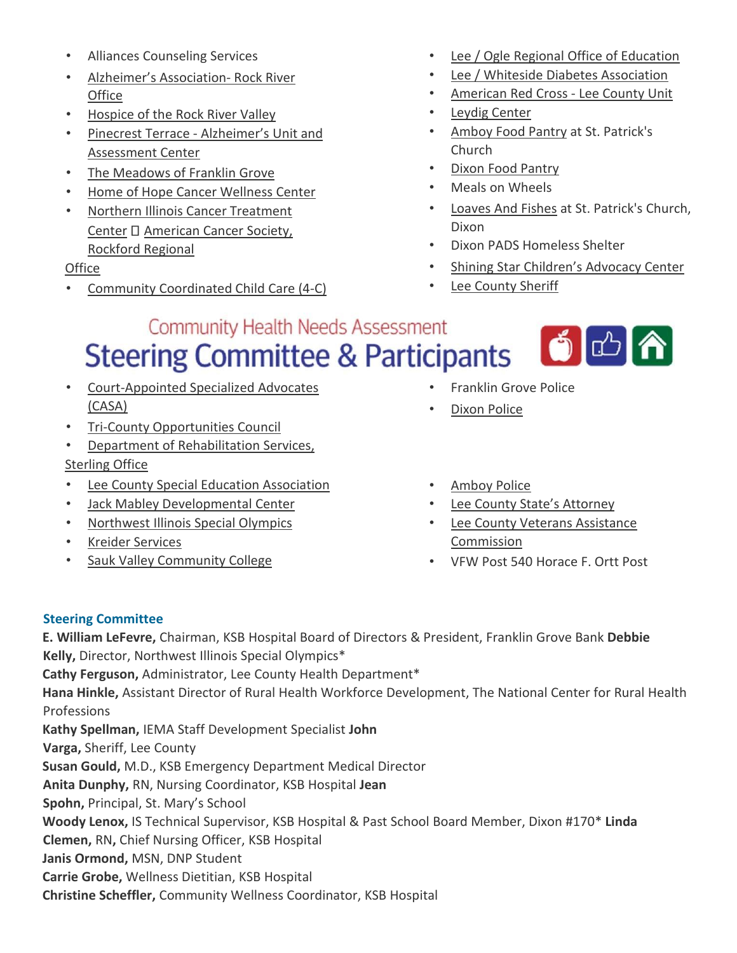- Alliances Counseling Services
- Alzheimer's Association‐ Rock River **Office**
- Hospice of the Rock River Valley
- Pinecrest Terrace ‐ Alzheimer's Unit and Assessment Center
- The Meadows of Franklin Grove
- **Home of Hope Cancer Wellness Center**
- Northern Illinois Cancer Treatment Center  $\square$  American Cancer Society, Rockford Regional

### **Office**

• Community Coordinated Child Care (4‐C)

- Lee / Ogle Regional Office of Education
- Lee / Whiteside Diabetes Association
- American Red Cross ‐ Lee County Unit
- Leydig Center
- Amboy Food Pantry at St. Patrick's Church
- Dixon Food Pantry
- Meals on Wheels
- Loaves And Fishes at St. Patrick's Church, Dixon
- Dixon PADS Homeless Shelter
- Shining Star Children's Advocacy Center
- Lee County Sheriff

# **Community Health Needs Assessment Steering Committee & Participants**



- Court‐Appointed Specialized Advocates (CASA)
- Tri‐County Opportunities Council
- Department of Rehabilitation Services, Sterling Office
- Lee County Special Education Association
- Jack Mabley Developmental Center
- Northwest Illinois Special Olympics
- Kreider Services
- Sauk Valley Community College
- Franklin Grove Police
- Dixon Police
- Amboy Police
- Lee County State's Attorney
- Lee County Veterans Assistance Commission
- VFW Post 540 Horace F. Ortt Post

### **Steering Committee**

**E. William LeFevre,** Chairman, KSB Hospital Board of Directors & President, Franklin Grove Bank **Debbie Kelly,** Director, Northwest Illinois Special Olympics\*

**Cathy Ferguson,** Administrator, Lee County Health Department\*

**Hana Hinkle,** Assistant Director of Rural Health Workforce Development, The National Center for Rural Health Professions

**Kathy Spellman,** IEMA Staff Development Specialist **John** 

**Varga,** Sheriff, Lee County

**Susan Gould,** M.D., KSB Emergency Department Medical Director

**Anita Dunphy,** RN, Nursing Coordinator, KSB Hospital **Jean** 

**Spohn,** Principal, St. Mary's School

**Woody Lenox,** IS Technical Supervisor, KSB Hospital & Past School Board Member, Dixon #170\* **Linda** 

**Clemen,** RN**,** Chief Nursing Officer, KSB Hospital

- **Janis Ormond,** MSN, DNP Student
- **Carrie Grobe,** Wellness Dietitian, KSB Hospital

**Christine Scheffler,** Community Wellness Coordinator, KSB Hospital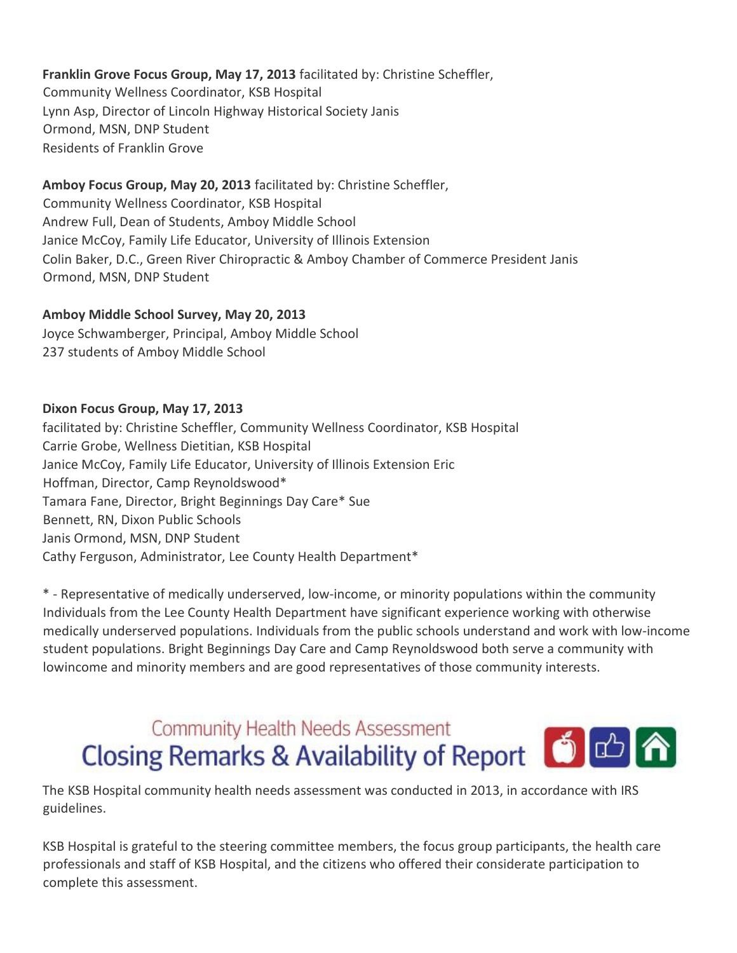### **Franklin Grove Focus Group, May 17, 2013** facilitated by: Christine Scheffler,

Community Wellness Coordinator, KSB Hospital Lynn Asp, Director of Lincoln Highway Historical Society Janis Ormond, MSN, DNP Student Residents of Franklin Grove

### **Amboy Focus Group, May 20, 2013** facilitated by: Christine Scheffler,

Community Wellness Coordinator, KSB Hospital Andrew Full, Dean of Students, Amboy Middle School Janice McCoy, Family Life Educator, University of Illinois Extension Colin Baker, D.C., Green River Chiropractic & Amboy Chamber of Commerce President Janis Ormond, MSN, DNP Student

### **Amboy Middle School Survey, May 20, 2013**

Joyce Schwamberger, Principal, Amboy Middle School 237 students of Amboy Middle School

### **Dixon Focus Group, May 17, 2013**

facilitated by: Christine Scheffler, Community Wellness Coordinator, KSB Hospital Carrie Grobe, Wellness Dietitian, KSB Hospital Janice McCoy, Family Life Educator, University of Illinois Extension Eric Hoffman, Director, Camp Reynoldswood\* Tamara Fane, Director, Bright Beginnings Day Care\* Sue Bennett, RN, Dixon Public Schools Janis Ormond, MSN, DNP Student Cathy Ferguson, Administrator, Lee County Health Department\*

\* ‐ Representative of medically underserved, low‐income, or minority populations within the community Individuals from the Lee County Health Department have significant experience working with otherwise medically underserved populations. Individuals from the public schools understand and work with low‐income student populations. Bright Beginnings Day Care and Camp Reynoldswood both serve a community with lowincome and minority members and are good representatives of those community interests.

# **Community Health Needs Assessment** Closing Remarks & Availability of Report **6 community Health Needs Assessment**

The KSB Hospital community health needs assessment was conducted in 2013, in accordance with IRS guidelines.

KSB Hospital is grateful to the steering committee members, the focus group participants, the health care professionals and staff of KSB Hospital, and the citizens who offered their considerate participation to complete this assessment.